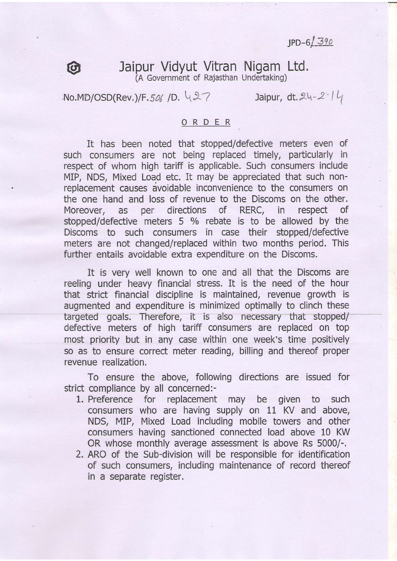$JPD-6/390$ 

## Jaipur Vidyut Vitran Nigam Ltd. (A Government of Rajasthan Undertaking)

 $NO.MD/OSD(Rev.)/F. 506/D. \ (27)$  Jaipur, dt. 24-2 l

**to** 

## ORDER

It has been noted that stopped/defective meters even of such consumers are not being replaced timely, particularly in respect of whom high tariff is applicable. Such consumers include MIP, NDS, Mixed Load etc. It may be appreciated that such non-. replacement causes avoidable inconvenience to the consumers on the one hand and loss of revenue to the Discoms on the other. Moreover, as per directions of RERC, in respect of stopped/defective meters 5 % rebate is to be allowed by the Discoms to such consumers in case their stopped/defective meters are not changed/replaced within two months period. This further entails avoidable extra expenditure on the Discoms.

It is very well known to one and all that the Discoms are reeling under heavy financial stress. It is the need of the hour that strict financial discipline is maintained, revenue growth is augmented and expenditure is minimized optimally to clinch these targeted goals. Therefore, it is also necessary that stopped/ defective meters of high tariff consumers are replaced on top most priority but in any case within one week's time positively so as to ensure correct meter reading, billing and thereof proper revenue realization.

To ensure the above, following directions are issued for strict compliance by all concerned:-

- 1. Preference for replacement may be given to such consumers who are having supply on 11 KV and above, NDS, MIP, Mixed Load including mobile towers and other consumers having sanctioned connected load above 10 KW OR whose monthly average assessment is above Rs 5000/-.
- 2. ARO of the Sub-division will be responsible for identification of such consumers, including maintenance of record thereof in a separate register.